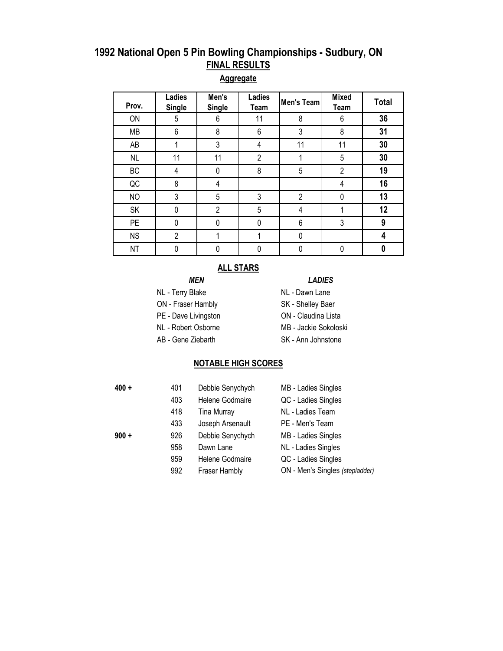# **1992 National Open 5 Pin Bowling Championships - Sudbury, ON FINAL RESULTS**

## **Aggregate**

| Prov.     | Ladies<br><b>Single</b> | Men's<br><b>Single</b> | Ladies<br>Team | Men's Team     | <b>Mixed</b><br>Team | <b>Total</b> |
|-----------|-------------------------|------------------------|----------------|----------------|----------------------|--------------|
| ON        | 5                       | 6                      | 11             | 8              | 6                    | 36           |
| <b>MB</b> | 6                       | 8                      | 6              | 3              | 8                    | 31           |
| AB        |                         | 3                      | 4              | 11             | 11                   | 30           |
| <b>NL</b> | 11                      | 11                     | $\overline{2}$ |                | 5                    | 30           |
| BC        | 4                       | 0                      | 8              | 5              | $\overline{2}$       | 19           |
| QC        | 8                       | 4                      |                |                | 4                    | 16           |
| <b>NO</b> | 3                       | 5                      | 3              | $\overline{2}$ | 0                    | 13           |
| SK        | 0                       | $\overline{2}$         | 5              | 4              |                      | 12           |
| <b>PE</b> | 0                       | 0                      | 0              | $\,6\,$        | 3                    | 9            |
| <b>NS</b> | $\overline{2}$          |                        |                | 0              |                      | 4            |
| <b>NT</b> | 0                       | 0                      |                | 0              | 0                    | 0            |

### **ALL STARS**

### *MEN LADIES*

- NL Terry Blake NL Dawn Lane
- 
- 
- 
- 
- ON Fraser Hambly SK Shelley Baer
- PE Dave Livingston **ON** Claudina Lista
- NL Robert Osborne MB Jackie Sokoloski
- AB Gene Ziebarth SK Ann Johnstone

### **NOTABLE HIGH SCORES**

| $400 +$ | 401 | Debbie Senychych   | MB - Ladies Singles             |
|---------|-----|--------------------|---------------------------------|
|         | 403 | Helene Godmaire    | QC - Ladies Singles             |
|         | 418 | <b>Tina Murray</b> | NL - Ladies Team                |
|         | 433 | Joseph Arsenault   | PE - Men's Team                 |
| $900 +$ | 926 | Debbie Senychych   | MB - Ladies Singles             |
|         | 958 | Dawn Lane          | NL - Ladies Singles             |
|         | 959 | Helene Godmaire    | QC - Ladies Singles             |
|         | 992 | Fraser Hambly      | ON - Men's Singles (stepladder) |
|         |     |                    |                                 |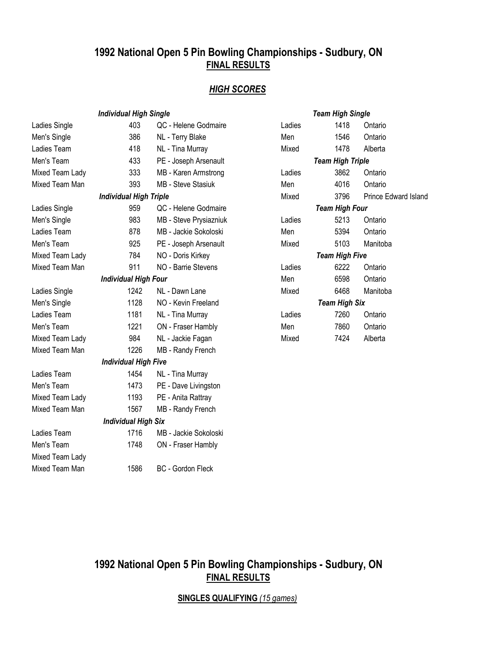# **1992 National Open 5 Pin Bowling Championships - Sudbury, ON FINAL RESULTS**

## *HIGH SCORES*

|                 | <b>Individual High Single</b> |                          |        | <b>Team High Single</b> |           |
|-----------------|-------------------------------|--------------------------|--------|-------------------------|-----------|
| Ladies Single   | 403                           | QC - Helene Godmaire     | Ladies | 1418                    | Ontario   |
| Men's Single    | 386                           | NL - Terry Blake         | Men    | 1546                    | Ontario   |
| Ladies Team     | 418                           | NL - Tina Murray         | Mixed  | 1478                    | Alberta   |
| Men's Team      | 433                           | PE - Joseph Arsenault    |        | <b>Team High Triple</b> |           |
| Mixed Team Lady | 333                           | MB - Karen Armstrong     | Ladies | 3862                    | Ontario   |
| Mixed Team Man  | 393                           | MB - Steve Stasiuk       | Men    | 4016                    | Ontario   |
|                 | <b>Individual High Triple</b> |                          | Mixed  | 3796                    | Prince Eo |
| Ladies Single   | 959                           | QC - Helene Godmaire     |        | <b>Team High Four</b>   |           |
| Men's Single    | 983                           | MB - Steve Prysiazniuk   | Ladies | 5213                    | Ontario   |
| Ladies Team     | 878                           | MB - Jackie Sokoloski    | Men    | 5394                    | Ontario   |
| Men's Team      | 925                           | PE - Joseph Arsenault    | Mixed  | 5103                    | Manitoba  |
| Mixed Team Lady | 784                           | NO - Doris Kirkey        |        | <b>Team High Five</b>   |           |
| Mixed Team Man  | 911                           | NO - Barrie Stevens      | Ladies | 6222                    | Ontario   |
|                 | <b>Individual High Four</b>   |                          | Men    | 6598                    | Ontario   |
| Ladies Single   | 1242                          | NL - Dawn Lane           | Mixed  | 6468                    | Manitoba  |
| Men's Single    | 1128                          | NO - Kevin Freeland      |        | <b>Team High Six</b>    |           |
| Ladies Team     | 1181                          | NL - Tina Murray         | Ladies | 7260                    | Ontario   |
| Men's Team      | 1221                          | ON - Fraser Hambly       | Men    | 7860                    | Ontario   |
| Mixed Team Lady | 984                           | NL - Jackie Fagan        | Mixed  | 7424                    | Alberta   |
| Mixed Team Man  | 1226                          | MB - Randy French        |        |                         |           |
|                 | <b>Individual High Five</b>   |                          |        |                         |           |
| Ladies Team     | 1454                          | NL - Tina Murray         |        |                         |           |
| Men's Team      | 1473                          | PE - Dave Livingston     |        |                         |           |
| Mixed Team Lady | 1193                          | PE - Anita Rattray       |        |                         |           |
| Mixed Team Man  | 1567                          | MB - Randy French        |        |                         |           |
|                 | <b>Individual High Six</b>    |                          |        |                         |           |
| Ladies Team     | 1716                          | MB - Jackie Sokoloski    |        |                         |           |
| Men's Team      | 1748                          | ON - Fraser Hambly       |        |                         |           |
| Mixed Team Lady |                               |                          |        |                         |           |
| Mixed Team Man  | 1586                          | <b>BC</b> - Gordon Fleck |        |                         |           |

|                       | <b>Team High Single</b> |                           |  |  |  |
|-----------------------|-------------------------|---------------------------|--|--|--|
| Ladies                | 1418                    | Ontario                   |  |  |  |
| Men                   | 1546                    | Ontario                   |  |  |  |
| Mixed                 |                         | 1478 Alberta              |  |  |  |
|                       | <b>Team High Triple</b> |                           |  |  |  |
| Ladies                | 3862                    | Ontario                   |  |  |  |
| Men                   | 4016                    | Ontario                   |  |  |  |
| Mixed                 |                         | 3796 Prince Edward Island |  |  |  |
| <b>Team High Four</b> |                         |                           |  |  |  |
| Ladies                | 5213                    | Ontario                   |  |  |  |
| Men                   | 5394                    | Ontario                   |  |  |  |
| Mixed                 | 5103                    | Manitoba                  |  |  |  |
|                       | Team High Five          |                           |  |  |  |
| Ladies                | 6222                    | Ontario                   |  |  |  |
| Men                   | 6598                    | Ontario                   |  |  |  |
| Mixed                 | 6468                    | Manitoba                  |  |  |  |
|                       | <b>Team High Six</b>    |                           |  |  |  |
| Ladies                | 7260                    | Ontario                   |  |  |  |
| Men                   | 7860                    | Ontario                   |  |  |  |
| Mixed                 | 7424                    | Alberta                   |  |  |  |

# **1992 National Open 5 Pin Bowling Championships - Sudbury, ON FINAL RESULTS**

**SINGLES QUALIFYING** *(15 games)*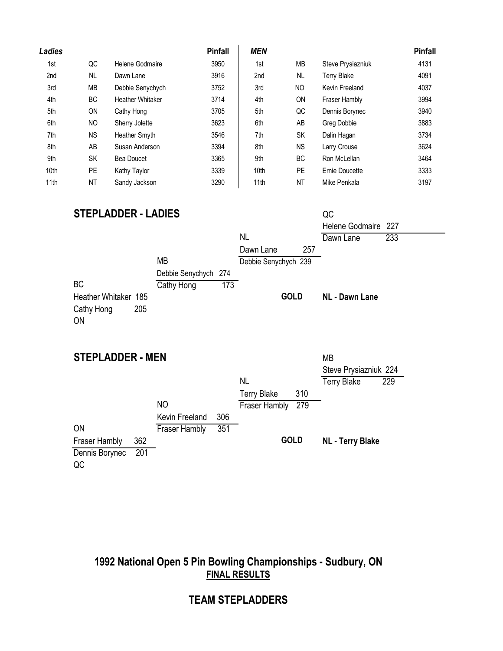| Ladies |           |                         | <b>Pinfall</b> | <b>MEN</b> |           |                    | <b>Pinfall</b> |
|--------|-----------|-------------------------|----------------|------------|-----------|--------------------|----------------|
| 1st    | QC        | Helene Godmaire         | 3950           | 1st        | МB        | Steve Prysiazniuk  | 4131           |
| 2nd    | <b>NL</b> | Dawn Lane               | 3916           | 2nd        | <b>NL</b> | <b>Terry Blake</b> | 4091           |
| 3rd    | МB        | Debbie Senychych        | 3752           | 3rd        | NO.       | Kevin Freeland     | 4037           |
| 4th    | <b>BC</b> | <b>Heather Whitaker</b> | 3714           | 4th        | <b>ON</b> | Fraser Hambly      | 3994           |
| 5th    | ON        | Cathy Hong              | 3705           | 5th        | QC        | Dennis Borynec     | 3940           |
| 6th    | NO.       | Sherry Jolette          | 3623           | 6th        | AB        | <b>Greg Dobbie</b> | 3883           |
| 7th    | <b>NS</b> | Heather Smyth           | 3546           | 7th        | SK        | Dalin Hagan        | 3734           |
| 8th    | AB        | Susan Anderson          | 3394           | 8th        | <b>NS</b> | Larry Crouse       | 3624           |
| 9th    | <b>SK</b> | Bea Doucet              | 3365           | 9th        | <b>BC</b> | Ron McLellan       | 3464           |
| 10th   | <b>PE</b> | Kathy Taylor            | 3339           | 10th       | PE        | Ernie Doucette     | 3333           |
| 11th   | <b>NT</b> | Sandy Jackson           | 3290           | 11th       | NT        | Mike Penkala       | 3197           |

## **STEPLADDER - LADIES**

| <b>STEPLADDER - LADIES</b> |                      |     |                      |     | QC                    |     |
|----------------------------|----------------------|-----|----------------------|-----|-----------------------|-----|
|                            |                      |     |                      |     | Helene Godmaire 227   |     |
|                            |                      |     | <b>NL</b>            |     | Dawn Lane             | 233 |
|                            |                      |     | Dawn Lane            | 257 |                       |     |
|                            | <b>MB</b>            |     | Debbie Senychych 239 |     |                       |     |
|                            | Debbie Senychych 274 |     |                      |     |                       |     |
| <b>BC</b>                  | Cathy Hong           | 173 |                      |     |                       |     |
| Heather Whitaker 185       |                      |     | <b>GOLD</b>          |     | <b>NL - Dawn Lane</b> |     |
| 205<br>Cathy Hong          |                      |     |                      |     |                       |     |
| <b>ON</b>                  |                      |     |                      |     |                       |     |
|                            |                      |     |                      |     |                       |     |

## **STEPI ADDER - MEN** MB

| <b>JILFLADDEN • MEN</b> |     |                      |     |                      |             | <b>IVID</b>             |     |
|-------------------------|-----|----------------------|-----|----------------------|-------------|-------------------------|-----|
|                         |     |                      |     |                      |             | Steve Prysiazniuk 224   |     |
|                         |     |                      |     | NL                   |             | <b>Terry Blake</b>      | 229 |
|                         |     |                      |     | <b>Terry Blake</b>   | 310         |                         |     |
|                         |     | NO.                  |     | <b>Fraser Hambly</b> | 279         |                         |     |
|                         |     | Kevin Freeland       | 306 |                      |             |                         |     |
| <b>ON</b>               |     | <b>Fraser Hambly</b> | 351 |                      |             |                         |     |
| Fraser Hambly           | 362 |                      |     |                      | <b>GOLD</b> | <b>NL - Terry Blake</b> |     |
| Dennis Borynec          | 201 |                      |     |                      |             |                         |     |
| QC                      |     |                      |     |                      |             |                         |     |

# **1992 National Open 5 Pin Bowling Championships - Sudbury, ON FINAL RESULTS**

# **TEAM STEPLADDERS**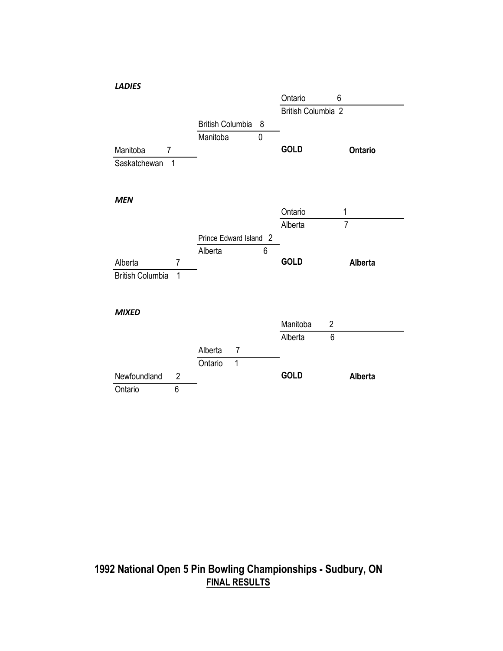

## **1992 National Open 5 Pin Bowling Championships - Sudbury, ON FINAL RESULTS**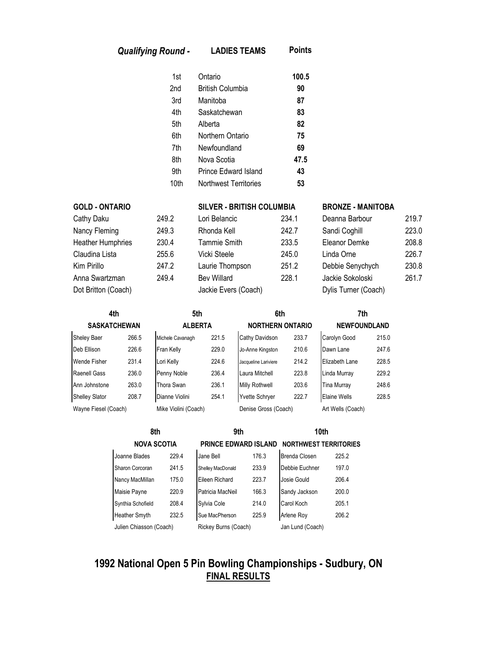| <b>Qualifying Round -</b> | <b>LADIES TEAMS</b> |
|---------------------------|---------------------|
|---------------------------|---------------------|

| 1st  | Ontario                      | 100.5 |
|------|------------------------------|-------|
| 2nd  | <b>British Columbia</b>      | 90    |
| 3rd  | Manitoba                     | 87    |
| 4th  | Saskatchewan                 | 83    |
| 5th  | Alberta                      | 82    |
| 6th  | Northern Ontario             | 75    |
| 7th  | Newfoundland                 | 69    |
| 8th  | Nova Scotia                  | 47.5  |
| 9th  | <b>Prince Edward Island</b>  | 43    |
| 10th | <b>Northwest Territories</b> | 53    |

**Points**

| Cathy Daku               |  |
|--------------------------|--|
| Nancy Fleming            |  |
| <b>Heather Humphries</b> |  |
| Claudina Lista           |  |
| Kim Pirillo              |  |
| Anna Swartzman           |  |
| Dot Britton (Coach)      |  |

| <b>GOLD - ONTARIO</b>    |       | SILVER - BRITISH COLUMBIA |       | <b>BRONZE - MANITOBA</b> |       |
|--------------------------|-------|---------------------------|-------|--------------------------|-------|
| Cathy Daku               | 249.2 | Lori Belancic             | 234.1 | Deanna Barbour           | 219.7 |
| Nancy Fleming            | 249.3 | Rhonda Kell               | 242.7 | Sandi Coghill            | 223.0 |
| <b>Heather Humphries</b> | 230.4 | Tammie Smith              | 233.5 | Eleanor Demke            | 208.8 |
| Claudina Lista           | 255.6 | Vicki Steele              | 245.0 | Linda Orne               | 226.7 |
| Kim Pirillo              | 247.2 | Laurie Thompson           | 251.2 | Debbie Senychych         | 230.8 |
| Anna Swartzman           | 249.4 | <b>Bev Willard</b>        | 228.1 | Jackie Sokoloski         | 261.7 |
| Dot Britton (Coach)      |       | Jackie Evers (Coach)      |       | Dylis Turner (Coach)     |       |

| Deanna Barbour       | 219.7 |
|----------------------|-------|
| Sandi Coghill        | 223.0 |
| Eleanor Demke        | 208.8 |
| Linda Orne           | 226.7 |
| Debbie Senychych     | 230.8 |
| Jackie Sokoloski     | 261.7 |
| Dylis Turner (Coach) |       |

| 4th<br><b>SASKATCHEWAN</b> |       | 5th                  | <b>ALBERTA</b> |                       |                         |                   | 7th                 |  |
|----------------------------|-------|----------------------|----------------|-----------------------|-------------------------|-------------------|---------------------|--|
|                            |       |                      |                |                       | <b>NORTHERN ONTARIO</b> |                   | <b>NEWFOUNDLAND</b> |  |
| <b>Sheley Baer</b>         | 266.5 | Michele Cavanagh     | 221.5          | Cathy Davidson        | 233.7                   | Carolyn Good      | 215.0               |  |
| Deb Ellison                | 226.6 | Fran Kelly           | 229.0          | Jo-Anne Kingston      | 210.6                   | Dawn Lane         | 247.6               |  |
| Wende Fisher               | 231.4 | Lori Kelly           | 224.6          | Jacqueline Lariviere  | 214.2                   | Elizabeth Lane    | 228.5               |  |
| Raenell Gass               | 236.0 | Penny Noble          | 236.4          | Laura Mitchell        | 223.8                   | Linda Murray      | 229.2               |  |
| Ann Johnstone              | 263.0 | <b>Thora Swan</b>    | 236.1          | <b>Milly Rothwell</b> | 203.6                   | Tina Murray       | 248.6               |  |
| <b>Shelley Slator</b>      | 208.7 | Dianne Violini       | 254.1          | <b>Yvette Schrver</b> | 222.7                   | Elaine Wells      | 228.5               |  |
| Wayne Fiesel (Coach)       |       | Mike Violini (Coach) |                | Denise Gross (Coach)  |                         | Art Wells (Coach) |                     |  |

| 8th               |                         | 9th   |                             | 10 <sub>th</sub> |                              |       |
|-------------------|-------------------------|-------|-----------------------------|------------------|------------------------------|-------|
|                   | <b>NOVA SCOTIA</b>      |       | <b>PRINCE EDWARD ISLAND</b> |                  | <b>NORTHWEST TERRITORIES</b> |       |
| Joanne Blades     |                         | 229.4 | Jane Bell                   | 176.3            | <b>Brenda Closen</b>         | 225.2 |
| Sharon Corcoran   |                         | 241.5 | Shelley MacDonald           | 233.9            | Debbie Euchner               | 197.0 |
| Nancy MacMillan   |                         | 175.0 | Eileen Richard              | 223.7            | Josie Gould                  | 206.4 |
| Maisie Payne      |                         | 220.9 | Patricia MacNeil            | 166.3            | Sandy Jackson                | 200.0 |
| Synthia Schofield |                         | 208.4 | Sylvia Cole                 | 214.0            | Carol Koch                   | 205.1 |
| Heather Smyth     |                         | 232.5 | Sue MacPherson              | 225.9            | Arlene Roy                   | 206.2 |
|                   | Julien Chiasson (Coach) |       | Rickey Burns (Coach)        |                  | Jan Lund (Coach)             |       |

# **1992 National Open 5 Pin Bowling Championships - Sudbury, ON FINAL RESULTS**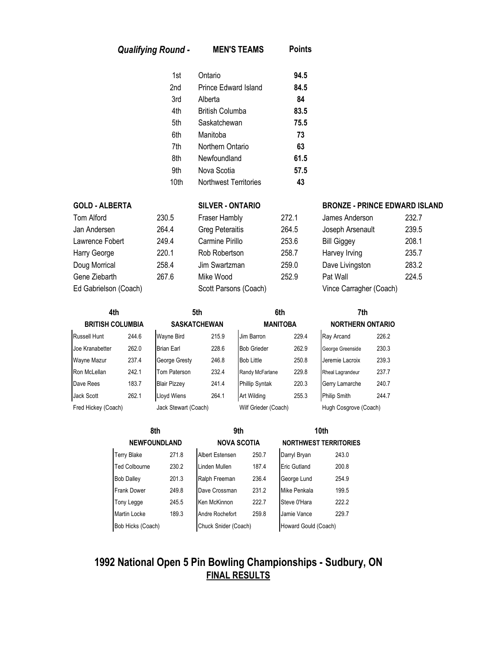| <b>Qualifying Round -</b> | <b>MEN'S TEAMS</b> | <b>Points</b> |
|---------------------------|--------------------|---------------|
|---------------------------|--------------------|---------------|

| 1st  | Ontario                      | 94.5 |
|------|------------------------------|------|
| 2nd  | Prince Edward Island         | 84.5 |
| 3rd  | Alberta                      | 84   |
| 4th  | British Columba              | 83.5 |
| 5th  | Saskatchewan                 | 75.5 |
| 6th  | Manitoba                     | 73   |
| 7th  | Northern Ontario             | 63   |
| 8th  | Newfoundland                 | 61.5 |
| 9th  | Nova Scotia                  | 57.5 |
| 10th | <b>Northwest Territories</b> | 43   |

| Jan Andersen<br>Lawrence Fobert<br>Harry George<br>Doug Morrical<br>Gene Ziebarth<br>Ed Gabrielson (Coach) | <b>Tom Alford</b> |
|------------------------------------------------------------------------------------------------------------|-------------------|
|                                                                                                            |                   |
|                                                                                                            |                   |
|                                                                                                            |                   |
|                                                                                                            |                   |
|                                                                                                            |                   |
|                                                                                                            |                   |

| Ed Gabrielson (Coach) |       | Scott Parsons (Coach)  |       | Vince Carragher (Coach) |       |
|-----------------------|-------|------------------------|-------|-------------------------|-------|
| Gene Ziebarth         | 267.6 | Mike Wood              | 252.9 | Pat Wall                | 224.5 |
| Doug Morrical         | 258.4 | Jim Swartzman          | 259.0 | Dave Livingston         | 283.2 |
| Harry George          | 220.1 | Rob Robertson          | 258.7 | Harvey Irving           | 235.7 |
| Lawrence Fobert       | 249.4 | Carmine Pirillo        | 253.6 | <b>Bill Giggey</b>      | 208.1 |
| Jan Andersen          | 264.4 | <b>Greg Peteraitis</b> | 264.5 | Joseph Arsenault        | 239.5 |
| Tom Alford            | 230.5 | Fraser Hambly          |       | James Anderson          | 232.7 |

### **GOLD - ALBERTA SILVER - ONTARIO BRONZE - PRINCE EDWARD ISLAND**

| Tom Alford            | 230.5 | Fraser Hambly          | 272.1 | James Anderson          | 232.7 |
|-----------------------|-------|------------------------|-------|-------------------------|-------|
| Jan Andersen          | 264.4 | <b>Greg Peteraitis</b> | 264.5 | Joseph Arsenault        | 239.5 |
| Lawrence Fobert       | 249.4 | Carmine Pirillo        | 253.6 | <b>Bill Giggey</b>      | 208.1 |
| Harry George          | 220.1 | Rob Robertson          | 258.7 | Harvey Irving           | 235.7 |
| Doug Morrical         | 258.4 | Jim Swartzman          | 259.0 | Dave Livingston         | 283.2 |
| Gene Ziebarth         | 267.6 | Mike Wood              | 252.9 | Pat Wall                | 224.5 |
| Ed Gabrielson (Coach) |       | Scott Parsons (Coach)  |       | Vince Carragher (Coach) |       |

| 4th<br><b>BRITISH COLUMBIA</b>              |       |                      | 5th<br><b>SASKATCHEWAN</b> |                       | 6th<br><b>MANITOBA</b> |                     | 7th<br><b>NORTHERN ONTARIO</b> |  |
|---------------------------------------------|-------|----------------------|----------------------------|-----------------------|------------------------|---------------------|--------------------------------|--|
|                                             |       |                      |                            |                       |                        |                     |                                |  |
| <b>Russell Hunt</b>                         | 244.6 | <b>Wayne Bird</b>    | 215.9                      | Jim Barron            | 229.4                  | Ray Arcand          | 226.2                          |  |
| Joe Kranabetter                             | 262.0 | <b>Brian Earl</b>    | 228.6                      | <b>Bob Grieder</b>    | 262.9                  | George Greenside    | 230.3                          |  |
| Wayne Mazur                                 | 237.4 | George Gresty        | 246.8                      | <b>Bob Little</b>     | 250.8                  | Jeremie Lacroix     | 239.3                          |  |
| Ron McLellan                                | 242.1 | Tom Paterson         | 232.4                      | Randy McFarlane       | 229.8                  | Rheal Lagrandeur    | 237.7                          |  |
| Dave Rees                                   | 183.7 | <b>Blair Pizzey</b>  | 241.4                      | Phillip Syntak        | 220.3                  | Gerry Lamarche      | 240.7                          |  |
| Jack Scott                                  | 262.1 | <b>Lloyd Wiens</b>   | 264.1                      | Art Wilding           | 255.3                  | <b>Philip Smith</b> | 244.7                          |  |
| Fred Hickey (Coach)<br>Jack Stewart (Coach) |       | Wilf Grieder (Coach) |                            | Hugh Cosgrove (Coach) |                        |                     |                                |  |

| 8th<br><b>NEWFOUNDLAND</b> |       | 9th                    |       | 10 <sub>th</sub><br><b>NORTHWEST TERRITORIES</b> |       |  |
|----------------------------|-------|------------------------|-------|--------------------------------------------------|-------|--|
|                            |       | <b>NOVA SCOTIA</b>     |       |                                                  |       |  |
| <b>Terry Blake</b>         | 271.8 | <b>Albert Estensen</b> | 250.7 | Darryl Bryan                                     | 243.0 |  |
| <b>Ted Colbourne</b>       | 230.2 | Linden Mullen          | 187.4 | Eric Gutland                                     | 200.8 |  |
| <b>Bob Dalley</b>          | 201.3 | Ralph Freeman          | 236.4 | George Lund                                      | 254.9 |  |
| Frank Dower                | 249.8 | Dave Crossman          | 231.2 | Mike Penkala                                     | 199.5 |  |
| Tony Legge                 | 245.5 | Ken McKinnon           | 222.7 | Steve 0'Hara                                     | 222.2 |  |
| Martin Locke               | 189.3 | Andre Rochefort        | 259.8 | Jamie Vance                                      | 229.7 |  |
| Bob Hicks (Coach)          |       | Chuck Snider (Coach)   |       | Howard Gould (Coach)                             |       |  |

# **1992 National Open 5 Pin Bowling Championships - Sudbury, ON FINAL RESULTS**